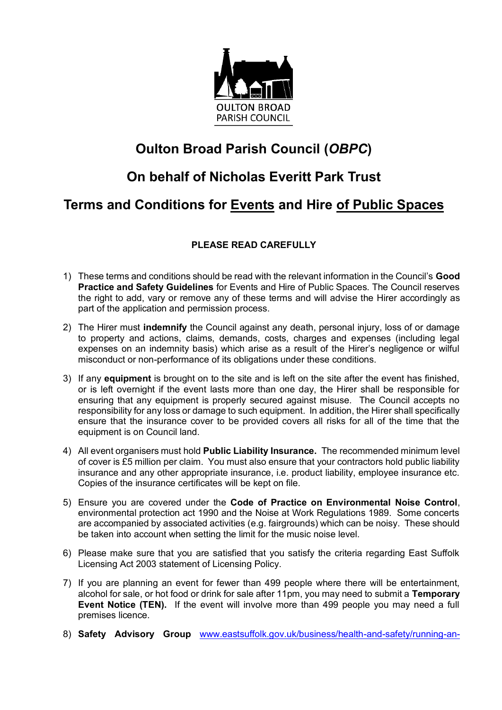

# **Oulton Broad Parish Council (***OBPC***)**

# **On behalf of Nicholas Everitt Park Trust**

## **Terms and Conditions for Events and Hire of Public Spaces**

### **PLEASE READ CAREFULLY**

- 1) These terms and conditions should be read with the relevant information in the Council's **Good Practice and Safety Guidelines** for Events and Hire of Public Spaces. The Council reserves the right to add, vary or remove any of these terms and will advise the Hirer accordingly as part of the application and permission process.
- 2) The Hirer must **indemnify** the Council against any death, personal injury, loss of or damage to property and actions, claims, demands, costs, charges and expenses (including legal expenses on an indemnity basis) which arise as a result of the Hirer's negligence or wilful misconduct or non-performance of its obligations under these conditions.
- 3) If any **equipment** is brought on to the site and is left on the site after the event has finished, or is left overnight if the event lasts more than one day, the Hirer shall be responsible for ensuring that any equipment is properly secured against misuse. The Council accepts no responsibility for any loss or damage to such equipment. In addition, the Hirer shall specifically ensure that the insurance cover to be provided covers all risks for all of the time that the equipment is on Council land.
- 4) All event organisers must hold **Public Liability Insurance.** The recommended minimum level of cover is £5 million per claim. You must also ensure that your contractors hold public liability insurance and any other appropriate insurance, i.e. product liability, employee insurance etc. Copies of the insurance certificates will be kept on file.
- 5) Ensure you are covered under the **Code of Practice on Environmental Noise Control**, environmental protection act 1990 and the Noise at Work Regulations 1989. Some concerts are accompanied by associated activities (e.g. fairgrounds) which can be noisy. These should be taken into account when setting the limit for the music noise level.
- 6) Please make sure that you are satisfied that you satisfy the criteria regarding East Suffolk Licensing Act 2003 statement of Licensing Policy.
- 7) If you are planning an event for fewer than 499 people where there will be entertainment, alcohol for sale, or hot food or drink for sale after 11pm, you may need to submit a **Temporary Event Notice (TEN).** If the event will involve more than 499 people you may need a full premises licence.
- 8) **Safety Advisory Group** [www.eastsuffolk.gov.uk/business/health-and-safety/running-an-](http://www.eastsuffolk.gov.uk/business/health-and-safety/running-an-event-safety/)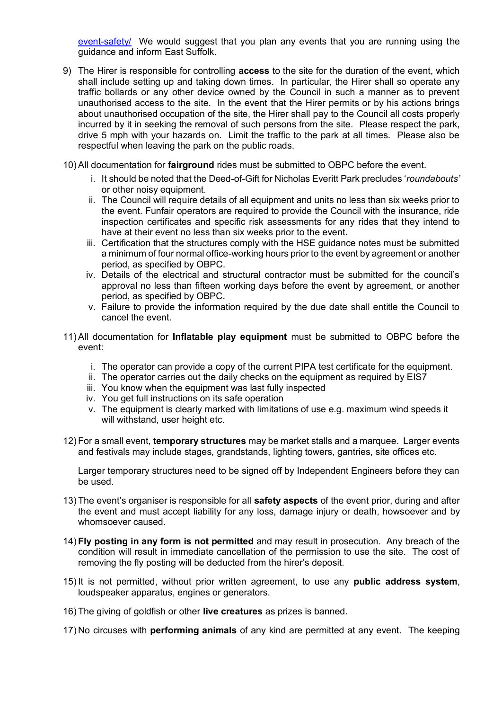[event-safety/](http://www.eastsuffolk.gov.uk/business/health-and-safety/running-an-event-safety/) We would suggest that you plan any events that you are running using the quidance and inform East Suffolk.

- 9) The Hirer is responsible for controlling **access** to the site for the duration of the event, which shall include setting up and taking down times. In particular, the Hirer shall so operate any traffic bollards or any other device owned by the Council in such a manner as to prevent unauthorised access to the site. In the event that the Hirer permits or by his actions brings about unauthorised occupation of the site, the Hirer shall pay to the Council all costs properly incurred by it in seeking the removal of such persons from the site. Please respect the park, drive 5 mph with your hazards on. Limit the traffic to the park at all times. Please also be respectful when leaving the park on the public roads.
- 10) All documentation for **fairground** rides must be submitted to OBPC before the event.
	- i. It should be noted that the Deed-of-Gift for Nicholas Everitt Park precludes '*roundabouts'* or other noisy equipment.
	- ii. The Council will require details of all equipment and units no less than six weeks prior to the event. Funfair operators are required to provide the Council with the insurance, ride inspection certificates and specific risk assessments for any rides that they intend to have at their event no less than six weeks prior to the event.
	- iii. Certification that the structures comply with the HSE guidance notes must be submitted a minimum of four normal office-working hours prior to the event by agreement or another period, as specified by OBPC.
	- iv. Details of the electrical and structural contractor must be submitted for the council's approval no less than fifteen working days before the event by agreement, or another period, as specified by OBPC.
	- v. Failure to provide the information required by the due date shall entitle the Council to cancel the event.
- 11) All documentation for **Inflatable play equipment** must be submitted to OBPC before the event:
	- i. The operator can provide a copy of the current PIPA test certificate for the equipment.
	- ii. The operator carries out the daily checks on the equipment as required by EIS7
	- iii. You know when the equipment was last fully inspected
	- iv. You get full instructions on its safe operation
	- v. The equipment is clearly marked with limitations of use e.g. maximum wind speeds it will withstand, user height etc.
- 12) For a small event, **temporary structures** may be market stalls and a marquee. Larger events and festivals may include stages, grandstands, lighting towers, gantries, site offices etc.

Larger temporary structures need to be signed off by Independent Engineers before they can be used.

- 13) The event's organiser is responsible for all **safety aspects** of the event prior, during and after the event and must accept liability for any loss, damage injury or death, howsoever and by whomsoever caused.
- 14) **Fly posting in any form is not permitted** and may result in prosecution. Any breach of the condition will result in immediate cancellation of the permission to use the site. The cost of removing the fly posting will be deducted from the hirer's deposit.
- 15) It is not permitted, without prior written agreement, to use any **public address system**, loudspeaker apparatus, engines or generators.
- 16) The giving of goldfish or other **live creatures** as prizes is banned.
- 17) No circuses with **performing animals** of any kind are permitted at any event. The keeping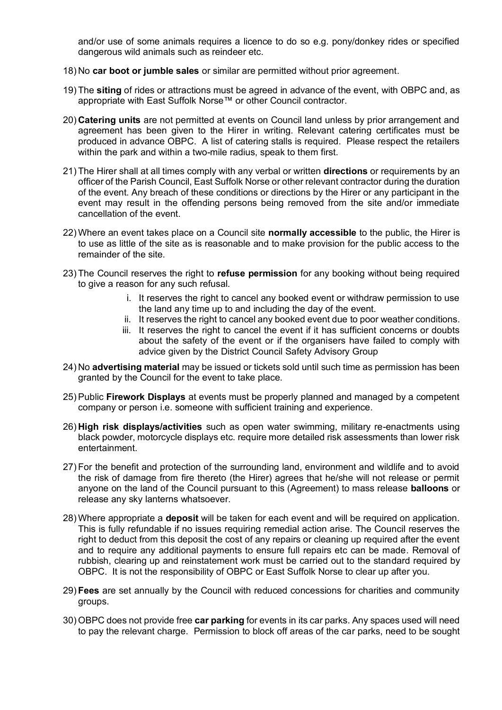and/or use of some animals requires a licence to do so e.g. pony/donkey rides or specified dangerous wild animals such as reindeer etc.

- 18) No **car boot or jumble sales** or similar are permitted without prior agreement.
- 19) The **siting** of rides or attractions must be agreed in advance of the event, with OBPC and, as appropriate with East Suffolk Norse™ or other Council contractor.
- 20) **Catering units** are not permitted at events on Council land unless by prior arrangement and agreement has been given to the Hirer in writing. Relevant catering certificates must be produced in advance OBPC. A list of catering stalls is required. Please respect the retailers within the park and within a two-mile radius, speak to them first.
- 21) The Hirer shall at all times comply with any verbal or written **directions** or requirements by an officer of the Parish Council, East Suffolk Norse or other relevant contractor during the duration of the event. Any breach of these conditions or directions by the Hirer or any participant in the event may result in the offending persons being removed from the site and/or immediate cancellation of the event.
- 22) Where an event takes place on a Council site **normally accessible** to the public, the Hirer is to use as little of the site as is reasonable and to make provision for the public access to the remainder of the site.
- 23) The Council reserves the right to **refuse permission** for any booking without being required to give a reason for any such refusal.
	- i. It reserves the right to cancel any booked event or withdraw permission to use the land any time up to and including the day of the event.
	- ii. It reserves the right to cancel any booked event due to poor weather conditions.
	- iii. It reserves the right to cancel the event if it has sufficient concerns or doubts about the safety of the event or if the organisers have failed to comply with advice given by the District Council Safety Advisory Group
- 24) No **advertising material** may be issued or tickets sold until such time as permission has been granted by the Council for the event to take place.
- 25) Public **Firework Displays** at events must be properly planned and managed by a competent company or person i.e. someone with sufficient training and experience.
- 26) **High risk displays/activities** such as open water swimming, military re-enactments using black powder, motorcycle displays etc. require more detailed risk assessments than lower risk entertainment.
- 27) For the benefit and protection of the surrounding land, environment and wildlife and to avoid the risk of damage from fire thereto (the Hirer) agrees that he/she will not release or permit anyone on the land of the Council pursuant to this (Agreement) to mass release **balloons** or release any sky lanterns whatsoever.
- 28) Where appropriate a **deposit** will be taken for each event and will be required on application. This is fully refundable if no issues requiring remedial action arise. The Council reserves the right to deduct from this deposit the cost of any repairs or cleaning up required after the event and to require any additional payments to ensure full repairs etc can be made. Removal of rubbish, clearing up and reinstatement work must be carried out to the standard required by OBPC. It is not the responsibility of OBPC or East Suffolk Norse to clear up after you.
- 29) **Fees** are set annually by the Council with reduced concessions for charities and community groups.
- 30) OBPC does not provide free **car parking** for events in its car parks. Any spaces used will need to pay the relevant charge. Permission to block off areas of the car parks, need to be sought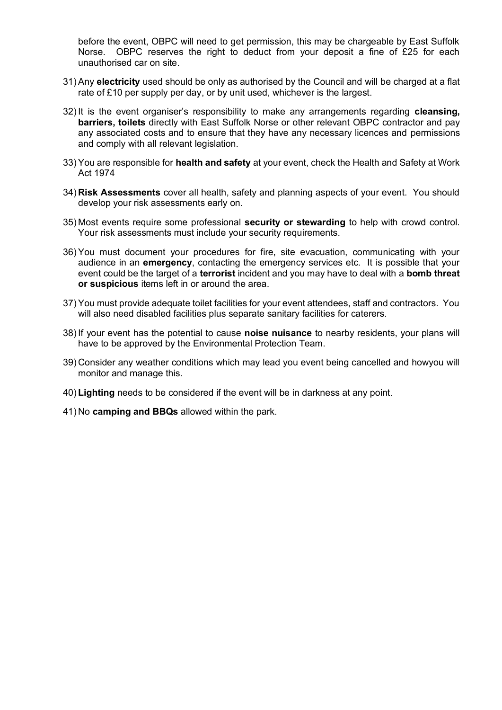before the event, OBPC will need to get permission, this may be chargeable by East Suffolk Norse. OBPC reserves the right to deduct from your deposit a fine of £25 for each unauthorised car on site.

- 31) Any **electricity** used should be only as authorised by the Council and will be charged at a flat rate of £10 per supply per day, or by unit used, whichever is the largest.
- 32) It is the event organiser's responsibility to make any arrangements regarding **cleansing, barriers, toilets** directly with East Suffolk Norse or other relevant OBPC contractor and pay any associated costs and to ensure that they have any necessary licences and permissions and comply with all relevant legislation.
- 33) You are responsible for **health and safety** at your event, check the Health and Safety at Work Act 1974
- 34) **Risk Assessments** cover all health, safety and planning aspects of your event. You should develop your risk assessments early on.
- 35) Most events require some professional **security or stewarding** to help with crowd control. Your risk assessments must include your security requirements.
- 36) You must document your procedures for fire, site evacuation, communicating with your audience in an **emergency**, contacting the emergency services etc. It is possible that your event could be the target of a **terrorist** incident and you may have to deal with a **bomb threat or suspicious** items left in or around the area.
- 37) You must provide adequate toilet facilities for your event attendees, staff and contractors. You will also need disabled facilities plus separate sanitary facilities for caterers.
- 38) If your event has the potential to cause **noise nuisance** to nearby residents, your plans will have to be approved by the Environmental Protection Team.
- 39) Consider any weather conditions which may lead you event being cancelled and howyou will monitor and manage this.
- 40) **Lighting** needs to be considered if the event will be in darkness at any point.
- 41) No **camping and BBQs** allowed within the park.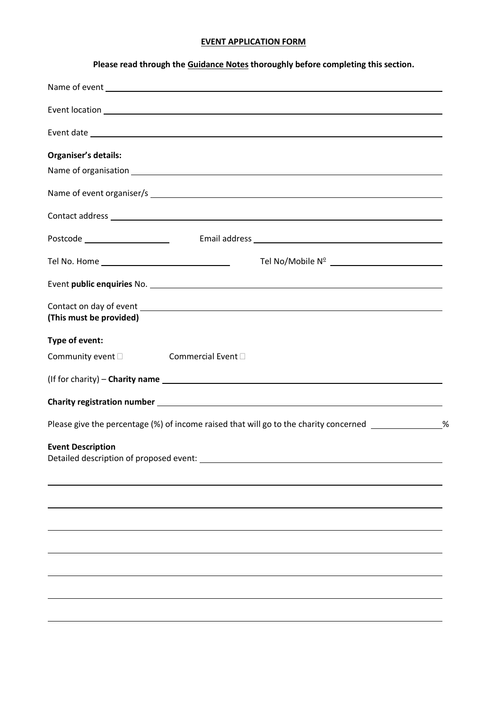### **EVENT APPLICATION FORM**

### **Please read through the Guidance Notes thoroughly before completing this section.**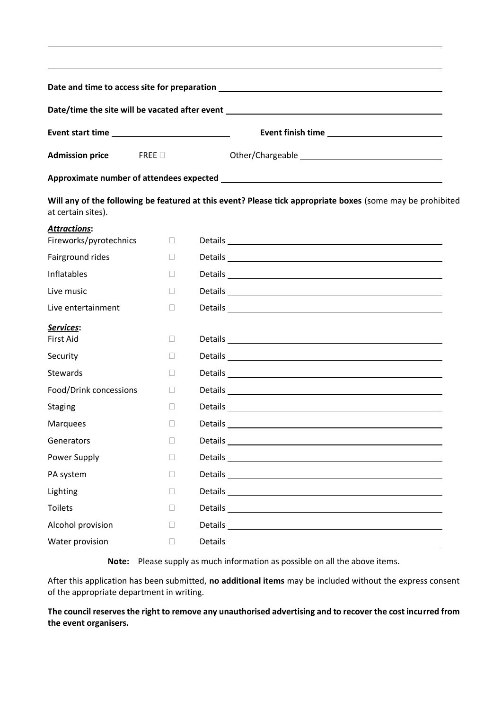|                                               |                | Date/time the site will be vacated after event _________________________________                                                                                                                                                     |  |  |
|-----------------------------------------------|----------------|--------------------------------------------------------------------------------------------------------------------------------------------------------------------------------------------------------------------------------------|--|--|
|                                               |                |                                                                                                                                                                                                                                      |  |  |
| <b>Admission price</b>                        | FREE           |                                                                                                                                                                                                                                      |  |  |
|                                               |                |                                                                                                                                                                                                                                      |  |  |
| at certain sites).                            |                | Will any of the following be featured at this event? Please tick appropriate boxes (some may be prohibited                                                                                                                           |  |  |
| <b>Attractions:</b><br>Fireworks/pyrotechnics | $\mathbb{R}$   | Details experience and the contract of the contract of the contract of the contract of the contract of the contract of the contract of the contract of the contract of the contract of the contract of the contract of the con       |  |  |
| Fairground rides                              | $\mathbb{R}^n$ |                                                                                                                                                                                                                                      |  |  |
| Inflatables                                   | $\mathbb{R}^n$ |                                                                                                                                                                                                                                      |  |  |
| Live music                                    | $\mathbb{R}^n$ |                                                                                                                                                                                                                                      |  |  |
| Live entertainment                            | $\Box$         | Details and the contract of the contract of the contract of the contract of the contract of the contract of the                                                                                                                      |  |  |
| Services:                                     |                |                                                                                                                                                                                                                                      |  |  |
| <b>First Aid</b>                              | $\Box$         |                                                                                                                                                                                                                                      |  |  |
| Security                                      | П              |                                                                                                                                                                                                                                      |  |  |
| <b>Stewards</b>                               | $\Box$         |                                                                                                                                                                                                                                      |  |  |
| Food/Drink concessions                        | $\mathbb{R}^n$ |                                                                                                                                                                                                                                      |  |  |
| <b>Staging</b>                                | П.             |                                                                                                                                                                                                                                      |  |  |
| <b>Marquees</b>                               | $\Box$         | Details experience and the contract of the contract of the contract of the contract of the contract of the contract of the contract of the contract of the contract of the contract of the contract of the contract of the con       |  |  |
| Generators                                    | $\Box$         | Details _______                                                                                                                                                                                                                      |  |  |
| Power Supply                                  | П              |                                                                                                                                                                                                                                      |  |  |
| PA system                                     | П              | Details experience and the contract of the contract of the contract of the contract of the contract of the contract of the contract of the contract of the contract of the contract of the contract of the contract of the con       |  |  |
| Lighting                                      | $\Box$         |                                                                                                                                                                                                                                      |  |  |
| <b>Toilets</b>                                | П              | Details experience and the contract of the contract of the contract of the contract of the contract of the contract of the contract of the contract of the contract of the contract of the contract of the contract of the con       |  |  |
| Alcohol provision                             | $\mathbb{R}^n$ | Details <b>Exercise Contract Contract Contract Contract Contract Contract Contract Contract Contract Contract Contract Contract Contract Contract Contract Contract Contract Contract Contract Contract Contract Contract Contra</b> |  |  |
| Water provision                               | $\mathbb{R}^n$ |                                                                                                                                                                                                                                      |  |  |

**Note:** Please supply as much information as possible on all the above items.

After this application has been submitted, **no additional items** may be included without the express consent of the appropriate department in writing.

**The council reserves the right to remove any unauthorised advertising and to recover the cost incurred from the event organisers.**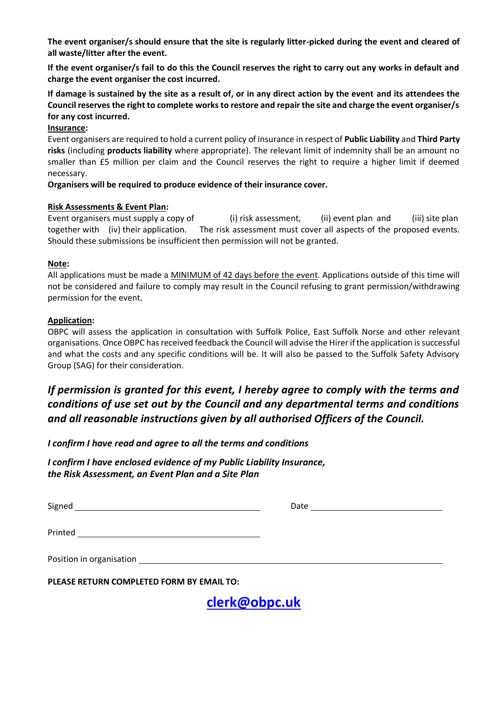**The event organiser/s should ensure that the site is regularly litter-picked during the event and cleared of all waste/litter after the event.**

**If the event organiser/s fail to do this the Council reserves the right to carry out any works in default and charge the event organiser the cost incurred.**

**If damage is sustained by the site as a result of, or in any direct action by the event and its attendees the Council reserves the right to complete works to restore and repair the site and charge the event organiser/s for any cost incurred.**

#### **Insurance:**

Event organisers are required to hold a current policy of insurance in respect of **Public Liability** and **Third Party risks** (including **products liability** where appropriate). The relevant limit of indemnity shall be an amount no smaller than £5 million per claim and the Council reserves the right to require a higher limit if deemed necessary.

#### **Organisers will be required to produce evidence of their insurance cover.**

#### **Risk Assessments & Event Plan:**

Event organisers must supply a copy of (i) risk assessment, (ii) event plan and (iii) site plan together with (iv) their application. The risk assessment must cover all aspects of the proposed events. Should these submissions be insufficient then permission will not be granted.

#### **Note:**

All applications must be made a MINIMUM of 42 days before the event. Applications outside of this time will not be considered and failure to comply may result in the Council refusing to grant permission/withdrawing permission for the event.

#### **Application:**

OBPC will assess the application in consultation with Suffolk Police, East Suffolk Norse and other relevant organisations. Once OBPC hasreceived feedback the Council will advise the Hirerif the application is successful and what the costs and any specific conditions will be. It will also be passed to the Suffolk Safety Advisory Group (SAG) for their consideration.

## *If permission is granted for this event, I hereby agree to comply with the terms and conditions of use set out by the Council and any departmental terms and conditions and all reasonable instructions given by all authorised Officers of the Council.*

*I confirm I have read and agree to all the terms and conditions* 

*I confirm I have enclosed evidence of my Public Liability Insurance, the Risk Assessment, an Event Plan and a Site Plan*

Signed Executive Contract of the Contract of the Contract of the Contract of the Contract of the Contract of the Contract of the Contract of the Contract of the Contract of the Contract of the Contract of the Contract of t

| Date |  |  |  |
|------|--|--|--|
|      |  |  |  |

Printed

| Position in organisation |  |
|--------------------------|--|
|                          |  |

**PLEASE RETURN COMPLETED FORM BY EMAIL TO:**

**[clerk@obpc.uk](mailto:clerk@obpc.uk)**